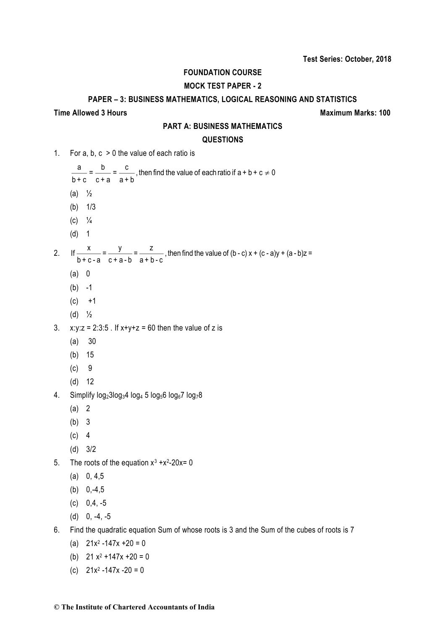# **FOUNDATION COURSE**

# **MOCK TEST PAPER - 2**

#### **PAPER – 3: BUSINESS MATHEMATICS, LOGICAL REASONING AND STATISTICS**

#### **Time Allowed 3 Hours Maximum Marks: 100**

### **PART A: BUSINESS MATHEMATICS**

#### **QUESTIONS**

- 1. For a, b, c > 0 the value of each ratio is
- $\frac{a}{b+c} = \frac{b}{c+a} = \frac{c}{a+b}$ , then find the value of each ratio if  $a+b+c \neq 0$ (a)  $\frac{1}{2}$ (b) 1/3  $(C)$   $\frac{1}{4}$ (d) 1 2. If  $\frac{x}{b+c-a} = \frac{y}{c+a-b} = \frac{z}{a+b-c}$ , then find the value of  $(b-c)x + (c-a)y + (a-b)z =$ (a) 0  $(b) -1$ 
	- $(c) +1$
	- (d) ½
- 3.  $x:y:z = 2:3:5$ . If  $x+y+z = 60$  then the value of z is
	- (a) 30
	- (b) 15
	- (c) 9
	- (d) 12
- 4. Simplify  $log_2 3 log_3 4 log_4 5 log_5 6 log_6 7 log_7 8$ 
	- (a) 2
	- (b) 3
	- (c) 4
	- (d) 3/2
- 5. The roots of the equation  $x^3 + x^2 20x = 0$ 
	- $(a)$  0, 4,5
	- (b)  $0,-4,5$
	- (c) 0,4, -5
	- $(d)$  0, -4, -5
- 6. Find the quadratic equation Sum of whose roots is 3 and the Sum of the cubes of roots is 7
	- (a)  $21x^2 147x + 20 = 0$
	- (b)  $21 x^2 + 147x + 20 = 0$
	- (c)  $21x^2 147x 20 = 0$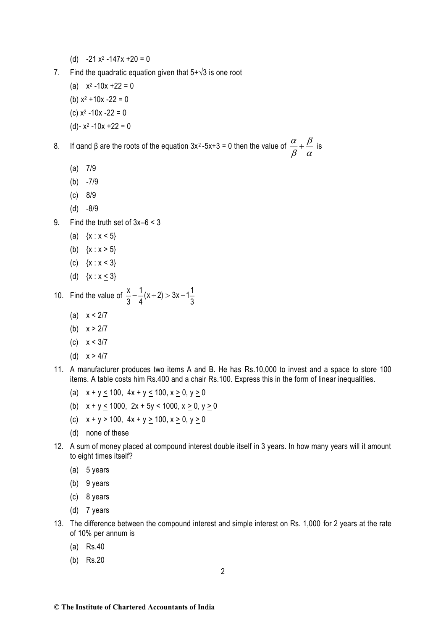- (d)  $-21x^2 147x + 20 = 0$
- 7. Find the quadratic equation given that  $5+\sqrt{3}$  is one root
	- (a)  $x^2 10x + 22 = 0$ (b)  $x^2 + 10x - 22 = 0$ (c)  $x^2 - 10x - 22 = 0$
	- (d)-  $x^2 10x + 22 = 0$

8. If αand β are the roots of the equation 3x<sup>2</sup>-5x+3 = 0 then the value of  $\frac{\alpha}{\alpha} + \frac{\beta}{\alpha}$  $\frac{\alpha}{\beta} + \frac{\beta}{\alpha}$  is

- (a) 7/9
- $(b) -7/9$
- (c) 8/9
- (d) -8/9
- 9. Find the truth set of 3x–6 < 3
	- (a)  $\{x : x < 5\}$
	- (b)  $\{x : x > 5\}$
	- (c) {x : x < 3}
	- (d)  $\{x : x < 3\}$
- 10. Find the value of  $\frac{2}{3} \frac{1}{4}(x+2) > 3x 1\frac{1}{3}$  $\frac{1}{4}$ (x+2) > 3x - 1 $\frac{1}{3}$ 1 3  $\frac{x}{-}$  -  $\frac{1}{x+2}$  > 3x -
	- (a)  $x < 2/7$
	- (b)  $x > 2/7$
	- (c) x < 3/7
	- (d)  $x > 4/7$
- 11. A manufacturer produces two items A and B. He has Rs.10,000 to invest and a space to store 100 items. A table costs him Rs.400 and a chair Rs.100. Express this in the form of linear inequalities.
	- (a)  $x + y \le 100$ ,  $4x + y \le 100$ ,  $x \ge 0$ ,  $y \ge 0$
	- (b)  $x + y \le 1000$ ,  $2x + 5y < 1000$ ,  $x \ge 0$ ,  $y \ge 0$
	- (c)  $x + y > 100$ ,  $4x + y \ge 100$ ,  $x \ge 0$ ,  $y \ge 0$
	- (d) none of these
- 12. A sum of money placed at compound interest double itself in 3 years. In how many years will it amount to eight times itself?
	- (a) 5 years
	- (b) 9 years
	- (c) 8 years
	- (d) 7 years
- 13. The difference between the compound interest and simple interest on Rs. 1,000 for 2 years at the rate of 10% per annum is
	- (a) Rs.40
	- (b) Rs.20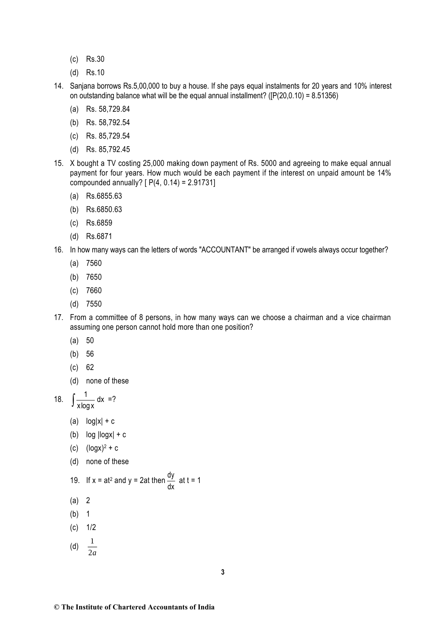- (c) Rs.30
- (d) Rs.10
- 14. Sanjana borrows Rs.5,00,000 to buy a house. If she pays equal instalments for 20 years and 10% interest on outstanding balance what will be the equal annual installment? ( $[ P(20, 0.10) = 8.51356 )$ )
	- (a) Rs. 58,729.84
	- (b) Rs. 58,792.54
	- (c) Rs. 85,729.54
	- (d) Rs. 85,792.45
- 15. X bought a TV costing 25,000 making down payment of Rs. 5000 and agreeing to make equal annual payment for four years. How much would be each payment if the interest on unpaid amount be 14% compounded annually? [ P(4, 0.14) = 2.91731]
	- (a) Rs.6855.63
	- (b) Rs.6850.63
	- (c) Rs.6859
	- (d) Rs.6871
- 16. In how many ways can the letters of words "ACCOUNTANT" be arranged if vowels always occur together?
	- (a) 7560
	- (b) 7650
	- (c) 7660
	- (d) 7550
- 17. From a committee of 8 persons, in how many ways can we choose a chairman and a vice chairman assuming one person cannot hold more than one position?
	- (a) 50
	- (b) 56
	- (c) 62
	- (d) none of these

18. 
$$
\int \frac{1}{x \log x} dx = ?
$$

- (a)  $log|x| + c$
- (b)  $log$   $|logx|$  + c
- (c)  $(log x)^{2} + c$
- (d) none of these

19. If 
$$
x = at^2
$$
 and  $y = 2at$  then  $\frac{dy}{dx}$  at  $t = 1$ 

- (a) 2
- (b) 1
- (c) 1/2
- (d)  $\frac{1}{2}$ 2*<sup>a</sup>*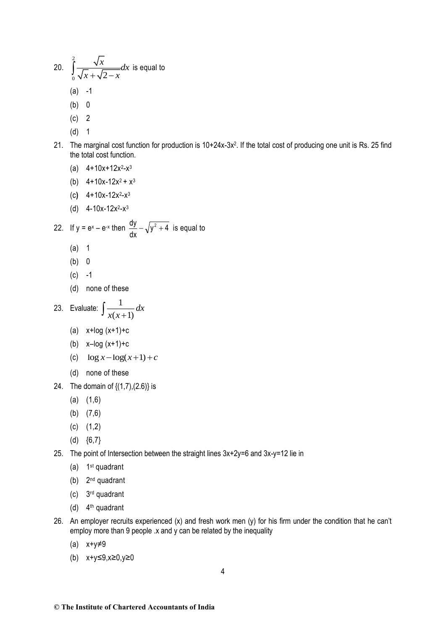20. 
$$
\int_{0}^{2} \frac{\sqrt{x}}{\sqrt{x} + \sqrt{2 - x}} dx
$$
 is equal to  
\n(a) -1  
\n(b) 0  
\n(c) 2  
\n(d) 1  
\n21. The marginal cost function for production is 10+24x-3x<sup>2</sup>. If the total cost of producing one unit is Rs. 25 find  
\nthe total cost function for production is 10+24x-3x<sup>2</sup>. If the total cost of producing one unit is Rs. 25 find  
\n(a) 4+10x+12x<sup>2</sup>-x<sup>2</sup>  
\n(b) 4+10x+12x<sup>2</sup>-x<sup>3</sup>  
\n(c) 4+10x+12x<sup>2</sup>-x<sup>3</sup>  
\n(d) 4-10x+12x<sup>2</sup>-x<sup>3</sup>  
\n22. If y = e<sup>x</sup> - e<sup>x</sup> then  $\frac{dy}{dx} - \sqrt{y^2 + 4}$  is equal to  
\n(a) 1  
\n(b) 0  
\n(c) -1  
\n(d) none of these  
\n23. Evaluate: 
$$
\int \frac{1}{x(x+1)} dx
$$
  
\n(a) x+log (x+1)+c  
\n(b) x-log (x+1)+c  
\n(c) log x - log(x+1)+c  
\n(d) none of these  
\n24. The domain of {(1,7),(2,6)} is  
\n(a) (1,6)  
\n(b) (7,6)  
\n(c) (1,2)  
\n(d) {6,7}  
\n25. The point of Intersection between the straight lines 3x+2y=6 and 3x-y=12 lie in  
\n(a) 1<sup>st</sup> quadrant  
\n(b) 2<sup>nd</sup> quadrant  
\n(c) 3<sup>rd</sup> quadrant  
\n(d) 3<sup>rd</sup> quadrant

- (d) 4<sup>th</sup> quadrant
- 26. An employer recruits experienced (x) and fresh work men (y) for his firm under the condition that he can't employ more than 9 people  $x$  and  $y$  can be related by the inequality
	- (a) x+y≠9
	- (b) x+y≤9,x≥0,y≥0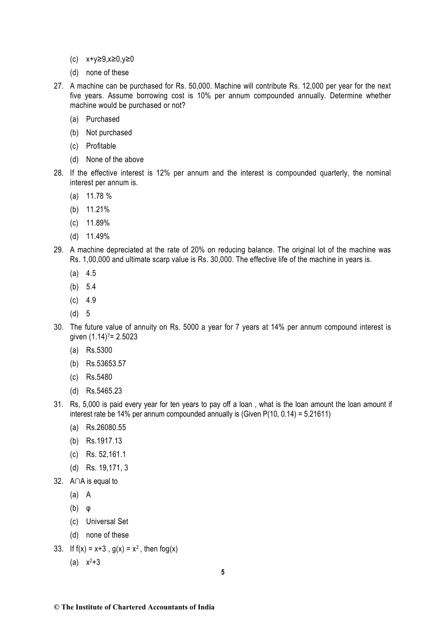- (c) x+y≥9,x≥0,y≥0
- (d) none of these
- 27. A machine can be purchased for Rs. 50,000. Machine will contribute Rs. 12,000 per year for the next five years. Assume borrowing cost is 10% per annum compounded annually. Determine whether machine would be purchased or not?
	- (a) Purchased
	- (b) Not purchased
	- (c) Profitable
	- (d) None of the above
- 28. If the effective interest is 12% per annum and the interest is compounded quarterly, the nominal interest per annum is.
	- (a) 11.78 %
	- (b) 11.21%
	- (c) 11.89%
	- (d) 11.49%
- 29. A machine depreciated at the rate of 20% on reducing balance. The original lot of the machine was Rs. 1,00,000 and ultimate scarp value is Rs. 30,000. The effective life of the machine in years is.
	- $(a)$  4.5
	- (b) 5.4
	- $(c)$  4.9
	- (d) 5
- 30. The future value of annuity on Rs. 5000 a year for 7 years at 14% per annum compound interest is given  $(1.14)$ <sup>7</sup> = 2.5023
	- (a) Rs.5300
	- (b) Rs.53653.57
	- (c) Rs.5480
	- (d) Rs.5465.23
- 31. Rs, 5,000 is paid every year for ten years to pay off a loan , what is the loan amount the loan amount if interest rate be 14% per annum compounded annually is (Given P(10, 0.14) = 5.21611)
	- (a) Rs.26080.55
	- (b) Rs.1917.13
	- (c) Rs. 52,161.1
	- (d) Rs. 19,171, 3
- 32. A∩A is equal to
	- (a) A
	- (b) φ
	- (c) Universal Set
	- (d) none of these
- 33. If  $f(x) = x+3$ ,  $g(x) = x^2$ , then  $f \circ g(x)$ 
	- (a) x <sup>2</sup>+3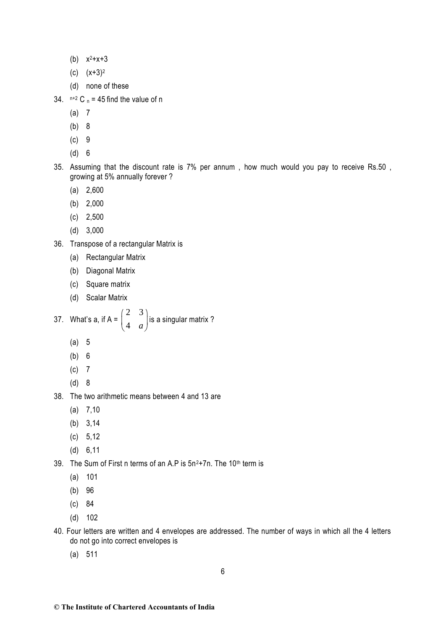- (b)  $x^2 + x + 3$
- (c)  $(x+3)^2$
- (d) none of these
- 34.  $n+2$  C  $n = 45$  find the value of n
	- (a) 7
	- (b) 8
	- (c) 9
	- (d) 6
- 35. Assuming that the discount rate is 7% per annum , how much would you pay to receive Rs.50 , growing at 5% annually forever ?
	- (a) 2,600
	- (b) 2,000
	- (c) 2,500
	- (d) 3,000
- 36. Transpose of a rectangular Matrix is
	- (a) Rectangular Matrix
	- (b) Diagonal Matrix
	- (c) Square matrix
	- (d) Scalar Matrix

37. What's a, if A = 
$$
\begin{pmatrix} 2 & 3 \\ 4 & a \end{pmatrix}
$$
 is a singular matrix ?

- (a) 5
- (b) 6
- (c) 7
- (d) 8
- 38. The two arithmetic means between 4 and 13 are
	- (a) 7,10
	- (b) 3,14
	- (c) 5,12
	- (d) 6,11
- 39. The Sum of First n terms of an A.P is  $5n^2+7n$ . The 10<sup>th</sup> term is
	- (a) 101
	- (b) 96
	- (c) 84
	- (d) 102
- 40. Four letters are written and 4 envelopes are addressed. The number of ways in which all the 4 letters do not go into correct envelopes is
	- (a) 511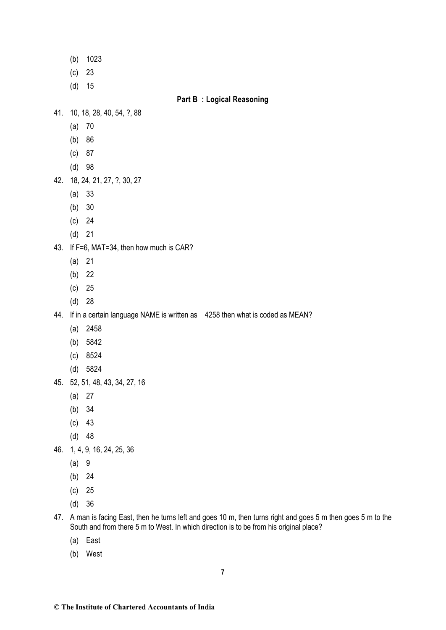- (b) 1023
- (c) 23
- (d) 15

### **Part B : Logical Reasoning**

- 41. 10, 18, 28, 40, 54, ?, 88
	- (a) 70
	- (b) 86
	- (c) 87
	- (d) 98
- 42. 18, 24, 21, 27, ?, 30, 27
	- (a) 33
	- (b) 30
	- (c) 24
	- (d) 21
- 43. If F=6, MAT=34, then how much is CAR?
	- (a) 21
	- (b) 22
	- (c) 25
	- (d) 28
- 44. If in a certain language NAME is written as 4258 then what is coded as MEAN?
	- (a) 2458
	- (b) 5842
	- (c) 8524
	- (d) 5824
- 45. 52, 51, 48, 43, 34, 27, 16
	- (a) 27
	- (b) 34
	- (c) 43
	- (d) 48
- 46. 1, 4, 9, 16, 24, 25, 36
	- (a) 9
	- (b) 24
	- (c) 25
	- (d) 36
- 47. A man is facing East, then he turns left and goes 10 m, then turns right and goes 5 m then goes 5 m to the South and from there 5 m to West. In which direction is to be from his original place?
	- (a) East
	- (b) West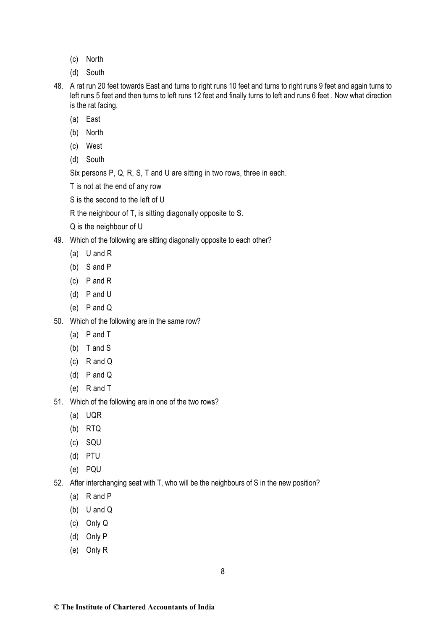- (c) North
- (d) South
- 48. A rat run 20 feet towards East and turns to right runs 10 feet and turns to right runs 9 feet and again turns to left runs 5 feet and then turns to left runs 12 feet and finally turns to left and runs 6 feet . Now what direction is the rat facing.
	- (a) East
	- (b) North
	- (c) West
	- (d) South

Six persons P, Q, R, S, T and U are sitting in two rows, three in each.

T is not at the end of any row

S is the second to the left of U

R the neighbour of T, is sitting diagonally opposite to S.

Q is the neighbour of U

49. Which of the following are sitting diagonally opposite to each other?

- (a) U and R
- (b) S and P
- (c) P and R
- (d) P and U
- (e) P and Q
- 50. Which of the following are in the same row?
	- (a) P and T
	- (b) T and S
	- (c) R and Q
	- (d) P and Q
	- (e) R and T
- 51. Which of the following are in one of the two rows?
	- (a) UQR
	- (b) RTQ
	- (c) SQU
	- (d) PTU
	- (e) PQU
- 52. After interchanging seat with T, who will be the neighbours of S in the new position?
	- (a) R and P
	- (b) U and Q
	- (c) Only Q
	- (d) Only P
	- (e) Only R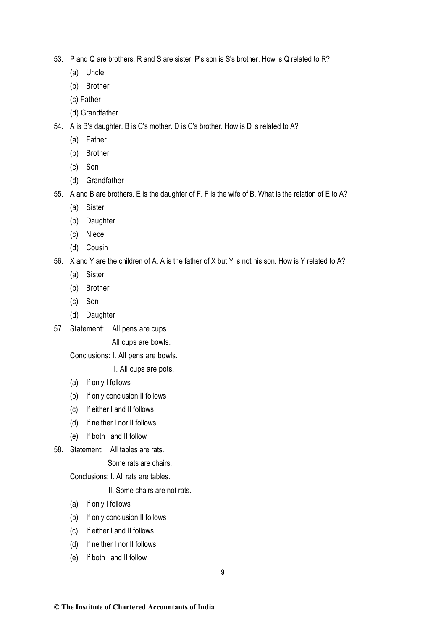- 53. P and Q are brothers. R and S are sister. P's son is S's brother. How is Q related to R?
	- (a) Uncle
	- (b) Brother
	- (c) Father
	- (d) Grandfather
- 54. A is B's daughter. B is C's mother. D is C's brother. How is D is related to A?
	- (a) Father
	- (b) Brother
	- (c) Son
	- (d) Grandfather
- 55. A and B are brothers. E is the daughter of F. F is the wife of B. What is the relation of E to A?
	- (a) Sister
	- (b) Daughter
	- (c) Niece
	- (d) Cousin
- 56. X and Y are the children of A. A is the father of X but Y is not his son. How is Y related to A?
	- (a) Sister
	- (b) Brother
	- (c) Son
	- (d) Daughter
- 57. Statement: All pens are cups.

All cups are bowls.

Conclusions: I. All pens are bowls.

II. All cups are pots.

- (a) If only I follows
- (b) If only conclusion II follows
- (c) If either I and II follows
- (d) If neither I nor II follows
- (e) If both I and II follow
- 58. Statement: All tables are rats.

Some rats are chairs.

Conclusions: I. All rats are tables.

II. Some chairs are not rats.

- (a) If only I follows
- (b) If only conclusion II follows
- (c) If either I and II follows
- (d) If neither I nor II follows
- (e) If both I and II follow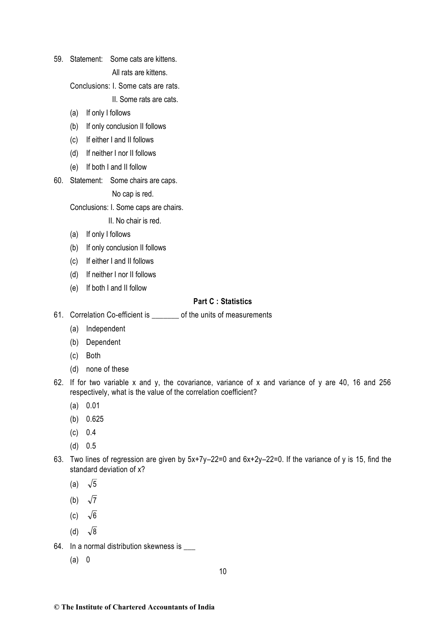59. Statement: Some cats are kittens.

All rats are kittens.

Conclusions: I. Some cats are rats.

II. Some rats are cats.

- (a) If only I follows
- (b) If only conclusion II follows
- (c) If either I and II follows
- (d) If neither I nor II follows
- (e) If both I and II follow
- 60. Statement: Some chairs are caps.

No cap is red.

Conclusions: I. Some caps are chairs.

II. No chair is red.

- (a) If only I follows
- (b) If only conclusion II follows
- (c) If either I and II follows
- (d) If neither I nor II follows
- (e) If both I and II follow

# **Part C : Statistics**

- 61. Correlation Co-efficient is entitled the units of measurements
	- (a) Independent
	- (b) Dependent
	- (c) Both
	- (d) none of these
- 62. If for two variable x and y, the covariance, variance of x and variance of y are 40, 16 and 256 respectively, what is the value of the correlation coefficient?
	- (a) 0.01
	- (b) 0.625
	- (c) 0.4
	- (d) 0.5
- 63. Two lines of regression are given by 5x+7y–22=0 and 6x+2y–22=0. If the variance of y is 15, find the standard deviation of x?
	- (a) 5
	- (b)  $\sqrt{7}$
	- (c)  $\sqrt{6}$
	- (d)  $\sqrt{8}$
- 64. In a normal distribution skewness is \_\_\_
	- (a) 0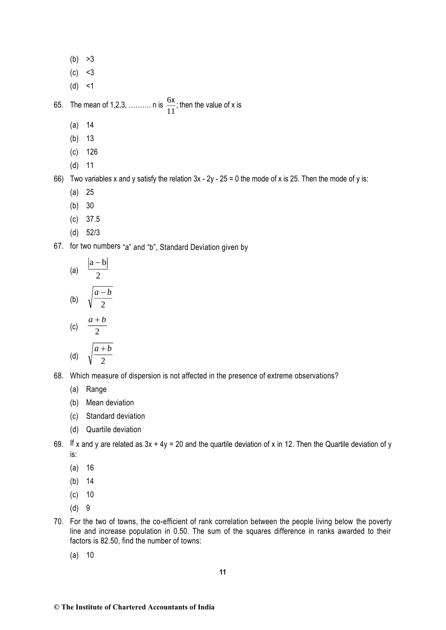- $(b) >3$
- $(c) < 3$
- $(d) < 1$

65. The mean of 1,2,3, .......... n is  $\frac{6}{5}$ 11  $\frac{x}{x}$ ; then the value of x is

- (a) 14
- (b) 13
- (c) 126
- (d) 11

66) Two variables x and y satisfy the relation  $3x - 2y - 25 = 0$  the mode of x is 25. Then the mode of y is:

- (a) 25
- (b) 30
- (c) 37.5
- (d) 52/3

67. for two numbers "a" and "b", Standard Deviation given by

(a) 
$$
\frac{|a-b|}{2}
$$
  
\n(b)  $\sqrt{\frac{a-b}{2}}$   
\n(c)  $\frac{a+b}{2}$ 

(d) 
$$
\sqrt{\frac{a+b}{2}}
$$

2

- 68. Which measure of dispersion is not affected in the presence of extreme observations?
	- (a) Range
	- (b) Mean deviation
	- (c) Standard deviation
	- (d) Quartile deviation
- 69. If x and y are related as  $3x + 4y = 20$  and the quartile deviation of x in 12. Then the Quartile deviation of y is:
	- (a) 16
	- (b) 14
	- (c) 10
	- (d) 9
- 70. For the two of towns, the co-efficient of rank correlation between the people living below the poverty line and increase population in 0.50. The sum of the squares difference in ranks awarded to their factors is 82.50, find the number of towns:
	- (a) 10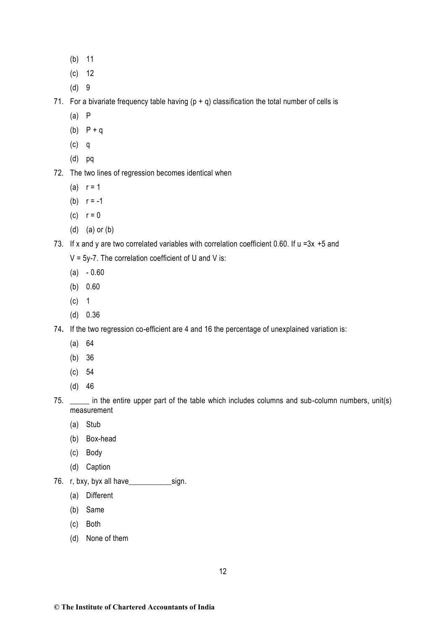- (b) 11
- (c) 12
- (d) 9

71. For a bivariate frequency table having  $(p + q)$  classification the total number of cells is

- (a) P
- (b)  $P + q$
- (c) q
- (d) pq
- 72. The two lines of regression becomes identical when
	- (a)  $r = 1$
	- (b)  $r = -1$
	- (c)  $r = 0$
	- (d) (a) or (b)
- 73. If x and y are two correlated variables with correlation coefficient 0.60. If u =3x +5 and
	- $V = 5y-7$ . The correlation coefficient of U and V is:
	- $(a) 0.60$
	- (b) 0.60
	- (c) 1
	- (d) 0.36
- 74**.** If the two regression co-efficient are 4 and 16 the percentage of unexplained variation is:
	- (a) 64
	- (b) 36
	- (c) 54
	- (d) 46
- 75. \_\_\_\_\_ in the entire upper part of the table which includes columns and sub-column numbers, unit(s) measurement
	- (a) Stub
	- (b) Box-head
	- (c) Body
	- (d) Caption
- 76. r, bxy, byx all have\_\_\_\_\_\_\_\_\_\_\_sign.
	- (a) Different
	- (b) Same
	- (c) Both
	- (d) None of them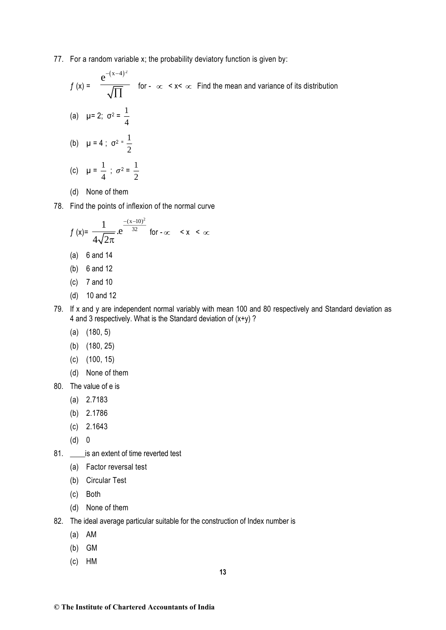77. For a random variable x; the probability deviatory function is given by:

$$
f(x) = \frac{e^{-(x-4)^2}}{\sqrt{\prod}}
$$
 for  $-\infty < x < \infty$  Find the mean and variance of its distribution  
\n(a)  $\mu = 2$ ;  $\sigma^2 = \frac{1}{4}$   
\n(b)  $\mu = 4$ ;  $\sigma^2 = \frac{1}{2}$   
\n(c)  $\mu = \frac{1}{4}$ ;  $\sigma^2 = \frac{1}{2}$ 

- (d) None of them
- 78. Find the points of inflexion of the normal curve

$$
f(x) = {1 \over 4\sqrt{2\pi}} e^{-{(x-10)^2 \over 32}}
$$
 for  $-\infty < x < \infty$ 

- (a) 6 and 14
- (b) 6 and 12
- (c) 7 and 10
- (d) 10 and 12
- 79. If x and y are independent normal variably with mean 100 and 80 respectively and Standard deviation as 4 and 3 respectively. What is the Standard deviation of  $(x+y)$  ?
	- (a) (180, 5)
	- (b) (180, 25)
	- (c) (100, 15)
	- (d) None of them
- 80. The value of e is
	- (a) 2.7183
	- (b) 2.1786
	- (c) 2.1643
	- (d) 0
- 81. \_\_\_\_\_ is an extent of time reverted test
	- (a) Factor reversal test
	- (b) Circular Test
	- (c) Both
	- (d) None of them
- 82. The ideal average particular suitable for the construction of Index number is
	- (a) AM
	- (b) GM
	- (c) HM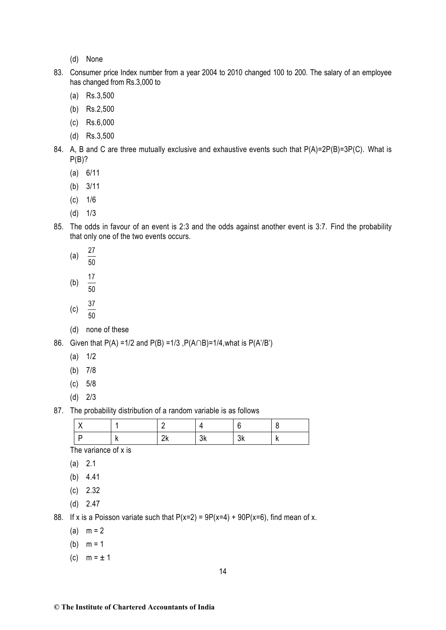- (d) None
- 83. Consumer price Index number from a year 2004 to 2010 changed 100 to 200. The salary of an employee has changed from Rs.3,000 to
	- (a) Rs.3,500
	- (b) Rs.2,500
	- (c) Rs.6,000
	- (d) Rs.3,500
- 84. A, B and C are three mutually exclusive and exhaustive events such that P(A)=2P(B)=3P(C). What is  $P(B)$ ?
	- (a) 6/11
	- (b) 3/11
	- (c) 1/6
	- (d) 1/3
- 85. The odds in favour of an event is 2:3 and the odds against another event is 3:7. Find the probability that only one of the two events occurs.
	- (a) 27
	- 50
	- (b) 17
	- 50
	- (c)  $\frac{37}{1}$
	- $\overline{50}$
	- (d) none of these

86. Given that P(A) =1/2 and P(B) =1/3 ,P(A∩B)=1/4,what is P(A'/B')

- (a) 1/2
- (b) 7/8
- (c) 5/8
- (d) 2/3

87. The probability distribution of a random variable is as follows

|  | . . | $\cdots$ |  |
|--|-----|----------|--|

The variance of x is

- (a) 2.1
- (b) 4.41
- (c) 2.32
- (d) 2.47

88. If x is a Poisson variate such that  $P(x=2) = 9P(x=4) + 90P(x=6)$ , find mean of x.

- (a)  $m = 2$
- (b)  $m = 1$
- (c)  $m = \pm 1$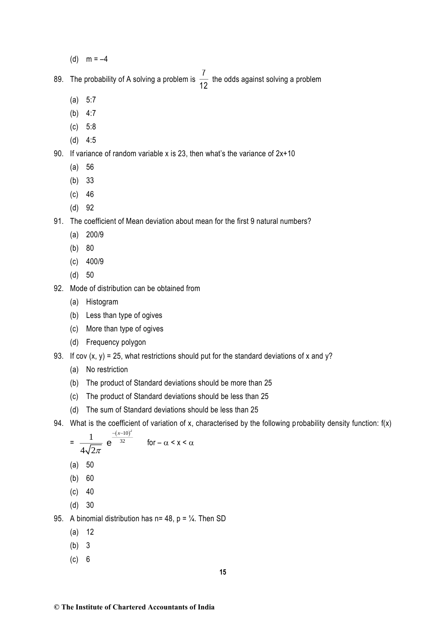(d)  $m = -4$ 

89. The probability of A solving a problem is  $\frac{7}{16}$  $\frac{1}{12}$  the odds against solving a problem

- (a) 5:7
- (b) 4:7
- (c) 5:8
- (d) 4:5

# 90. If variance of random variable x is 23, then what's the variance of 2x+10

- (a) 56
- (b) 33
- (c) 46
- (d) 92

91. The coefficient of Mean deviation about mean for the first 9 natural numbers?

- (a) 200/9
- (b) 80
- (c) 400/9
- (d) 50
- 92. Mode of distribution can be obtained from
	- (a) Histogram
	- (b) Less than type of ogives
	- (c) More than type of ogives
	- (d) Frequency polygon
- 93. If cov  $(x, y) = 25$ , what restrictions should put for the standard deviations of x and y?
	- (a) No restriction
	- (b) The product of Standard deviations should be more than 25
	- (c) The product of Standard deviations should be less than 25
	- (d) The sum of Standard deviations should be less than 25
- 94. What is the coefficient of variation of x, characterised by the following probability density function: f(x)

$$
= \frac{1}{4\sqrt{2\pi}} e^{\frac{-(x-10)^2}{32}} \quad \text{for } -\alpha < x < \alpha
$$

- (a) 50
- (b) 60
- $(c)$  40
- (d) 30

95. A binomial distribution has  $n= 48$ ,  $p = \frac{1}{4}$ . Then SD

- (a) 12
- (b) 3
- (c) 6